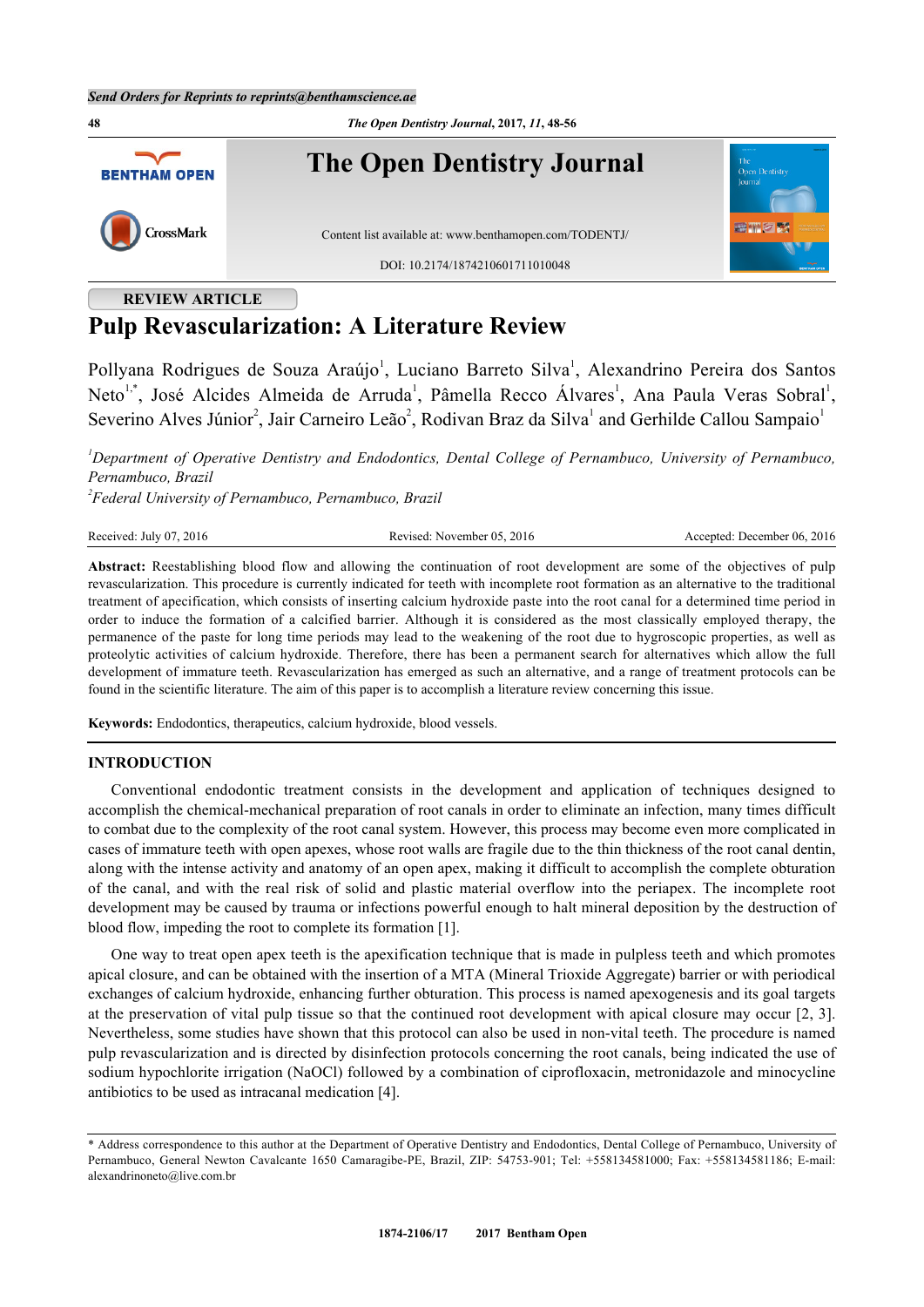

# **REVIEW ARTICLE Pulp Revascularization: A Literature Review**

Pollyana Rodrigues de Souza Araújo<sup>[1](#page-0-0)</sup>, Luciano Barreto Silva<sup>1</sup>, Alexandrino Pereira dos Santos Neto<sup>[1,](#page-0-0)[\\*](#page-0-1)</sup>, José Alcides Almeida de Arruda<sup>[1](#page-0-0)</sup>, Pâmella Recco Álvares<sup>1</sup>, Ana Paula Veras Sobral<sup>1</sup>, Severino Alves Júnior<sup>[2](#page-0-2)</sup>, Jair Carneiro Leão<sup>2</sup>, Rodivan Braz da Silva<sup>[1](#page-0-0)</sup> and Gerhilde Callou Sampaio<sup>1</sup>

<span id="page-0-0"></span>*<sup>1</sup>Department of Operative Dentistry and Endodontics, Dental College of Pernambuco, University of Pernambuco, Pernambuco, Brazil*

<span id="page-0-2"></span>*2 Federal University of Pernambuco, Pernambuco, Brazil*

Received: July 07, 2016 Revised: November 05, 2016 Accepted: December 06, 2016

**Abstract:** Reestablishing blood flow and allowing the continuation of root development are some of the objectives of pulp revascularization. This procedure is currently indicated for teeth with incomplete root formation as an alternative to the traditional treatment of apecification, which consists of inserting calcium hydroxide paste into the root canal for a determined time period in order to induce the formation of a calcified barrier. Although it is considered as the most classically employed therapy, the permanence of the paste for long time periods may lead to the weakening of the root due to hygroscopic properties, as well as proteolytic activities of calcium hydroxide. Therefore, there has been a permanent search for alternatives which allow the full development of immature teeth. Revascularization has emerged as such an alternative, and a range of treatment protocols can be found in the scientific literature. The aim of this paper is to accomplish a literature review concerning this issue.

**Keywords:** Endodontics, therapeutics, calcium hydroxide, blood vessels.

### **INTRODUCTION**

Conventional endodontic treatment consists in the development and application of techniques designed to accomplish the chemical-mechanical preparation of root canals in order to eliminate an infection, many times difficult to combat due to the complexity of the root canal system. However, this process may become even more complicated in cases of immature teeth with open apexes, whose root walls are fragile due to the thin thickness of the root canal dentin, along with the intense activity and anatomy of an open apex, making it difficult to accomplish the complete obturation of the canal, and with the real risk of solid and plastic material overflow into the periapex. The incomplete root development may be caused by trauma or infections powerful enough to halt mineral deposition by the destruction of blood flow, impeding the root to complete its formation [[1\]](#page-7-0).

One way to treat open apex teeth is the apexification technique that is made in pulpless teeth and which promotes apical closure, and can be obtained with the insertion of a MTA (Mineral Trioxide Aggregate) barrier or with periodical exchanges of calcium hydroxide, enhancing further obturation. This process is named apexogenesis and its goal targets at the preservation of vital pulp tissue so that the continued root development with apical closure may occur [[2,](#page-7-1) [3\]](#page-7-2). Nevertheless, some studies have shown that this protocol can also be used in non-vital teeth. The procedure is named pulp revascularization and is directed by disinfection protocols concerning the root canals, being indicated the use of sodium hypochlorite irrigation (NaOCl) followed by a combination of ciprofloxacin, metronidazole and minocycline antibiotics to be used as intracanal medication [[4\]](#page-7-3).

<span id="page-0-1"></span><sup>\*</sup> Address correspondence to this author at the Department of Operative Dentistry and Endodontics, Dental College of Pernambuco, University of Pernambuco, General Newton Cavalcante 1650 Camaragibe-PE, Brazil, ZIP: 54753-901; Tel: +558134581000; Fax: +558134581186; E-mail: [alexandrinoneto@live.com.br](mailto:alexandrinoneto@live.com.br)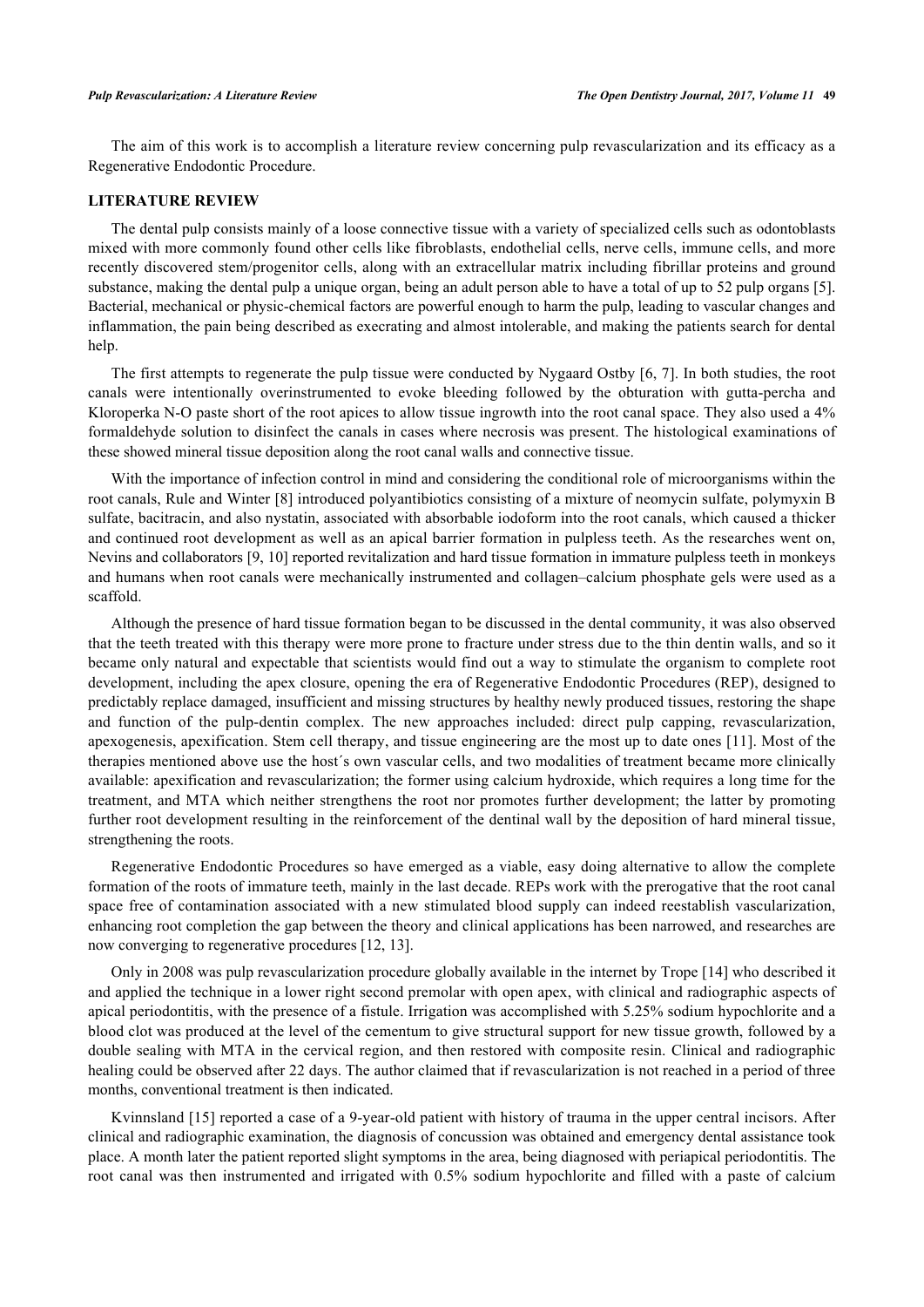The aim of this work is to accomplish a literature review concerning pulp revascularization and its efficacy as a Regenerative Endodontic Procedure.

# **LITERATURE REVIEW**

The dental pulp consists mainly of a loose connective tissue with a variety of specialized cells such as odontoblasts mixed with more commonly found other cells like fibroblasts, endothelial cells, nerve cells, immune cells, and more recently discovered stem/progenitor cells, along with an extracellular matrix including fibrillar proteins and ground substance, making the dental pulp a unique organ, being an adult person able to have a total of up to 52 pulp organs [[5\]](#page-7-4). Bacterial, mechanical or physic-chemical factors are powerful enough to harm the pulp, leading to vascular changes and inflammation, the pain being described as execrating and almost intolerable, and making the patients search for dental help.

The first attempts to regenerate the pulp tissue were conducted by Nygaard Ostby [[6,](#page-7-5) [7](#page-7-6)]. In both studies, the root canals were intentionally overinstrumented to evoke bleeding followed by the obturation with gutta-percha and Kloroperka N-O paste short of the root apices to allow tissue ingrowth into the root canal space. They also used a 4% formaldehyde solution to disinfect the canals in cases where necrosis was present. The histological examinations of these showed mineral tissue deposition along the root canal walls and connective tissue.

With the importance of infection control in mind and considering the conditional role of microorganisms within the root canals, Rule and Winter [[8\]](#page-7-7) introduced polyantibiotics consisting of a mixture of neomycin sulfate, polymyxin B sulfate, bacitracin, and also nystatin, associated with absorbable iodoform into the root canals, which caused a thicker and continued root development as well as an apical barrier formation in pulpless teeth. As the researches went on, Nevins and collaborators [[9,](#page-7-8) [10\]](#page-7-9) reported revitalization and hard tissue formation in immature pulpless teeth in monkeys and humans when root canals were mechanically instrumented and collagen–calcium phosphate gels were used as a scaffold.

Although the presence of hard tissue formation began to be discussed in the dental community, it was also observed that the teeth treated with this therapy were more prone to fracture under stress due to the thin dentin walls, and so it became only natural and expectable that scientists would find out a way to stimulate the organism to complete root development, including the apex closure, opening the era of Regenerative Endodontic Procedures (REP), designed to predictably replace damaged, insufficient and missing structures by healthy newly produced tissues, restoring the shape and function of the pulp-dentin complex. The new approaches included: direct pulp capping, revascularization, apexogenesis, apexification. Stem cell therapy, and tissue engineering are the most up to date ones [[11\]](#page-7-10). Most of the therapies mentioned above use the host´s own vascular cells, and two modalities of treatment became more clinically available: apexification and revascularization; the former using calcium hydroxide, which requires a long time for the treatment, and MTA which neither strengthens the root nor promotes further development; the latter by promoting further root development resulting in the reinforcement of the dentinal wall by the deposition of hard mineral tissue, strengthening the roots.

Regenerative Endodontic Procedures so have emerged as a viable, easy doing alternative to allow the complete formation of the roots of immature teeth, mainly in the last decade. REPs work with the prerogative that the root canal space free of contamination associated with a new stimulated blood supply can indeed reestablish vascularization, enhancing root completion the gap between the theory and clinical applications has been narrowed, and researches are now converging to regenerative procedures [[12,](#page-7-11) [13\]](#page-7-12).

Only in 2008 was pulp revascularization procedure globally available in the internet by Trope [[14](#page-7-13)] who described it and applied the technique in a lower right second premolar with open apex, with clinical and radiographic aspects of apical periodontitis, with the presence of a fistule. Irrigation was accomplished with 5.25% sodium hypochlorite and a blood clot was produced at the level of the cementum to give structural support for new tissue growth, followed by a double sealing with MTA in the cervical region, and then restored with composite resin. Clinical and radiographic healing could be observed after 22 days. The author claimed that if revascularization is not reached in a period of three months, conventional treatment is then indicated.

Kvinnsland [[15](#page-7-14)] reported a case of a 9-year-old patient with history of trauma in the upper central incisors. After clinical and radiographic examination, the diagnosis of concussion was obtained and emergency dental assistance took place. A month later the patient reported slight symptoms in the area, being diagnosed with periapical periodontitis. The root canal was then instrumented and irrigated with 0.5% sodium hypochlorite and filled with a paste of calcium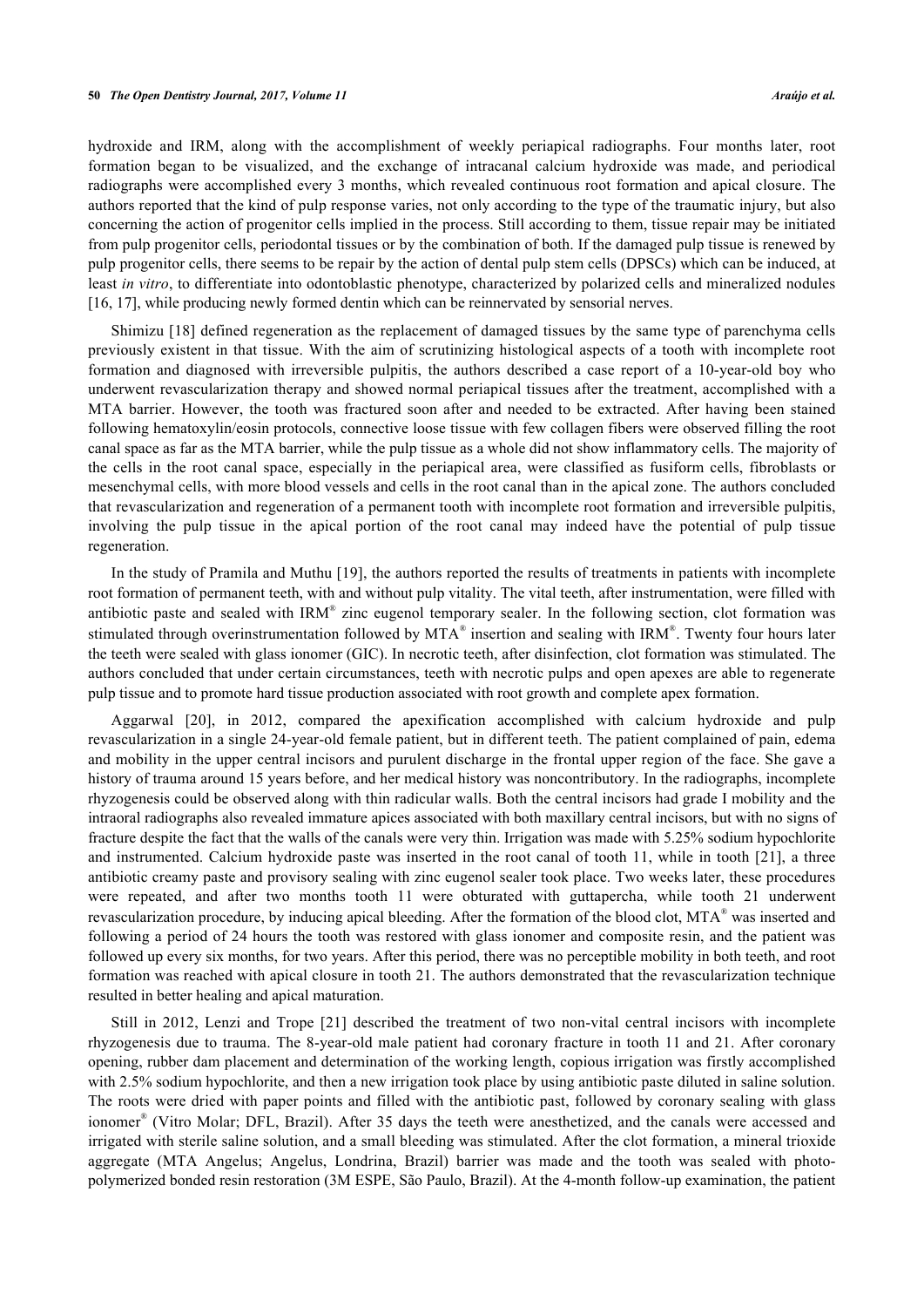hydroxide and IRM, along with the accomplishment of weekly periapical radiographs. Four months later, root formation began to be visualized, and the exchange of intracanal calcium hydroxide was made, and periodical radiographs were accomplished every 3 months, which revealed continuous root formation and apical closure. The authors reported that the kind of pulp response varies, not only according to the type of the traumatic injury, but also concerning the action of progenitor cells implied in the process. Still according to them, tissue repair may be initiated from pulp progenitor cells, periodontal tissues or by the combination of both. If the damaged pulp tissue is renewed by pulp progenitor cells, there seems to be repair by the action of dental pulp stem cells (DPSCs) which can be induced, at least *in vitro*, to differentiate into odontoblastic phenotype, characterized by polarized cells and mineralized nodules [\[16](#page-7-15), [17](#page-7-16)], while producing newly formed dentin which can be reinnervated by sensorial nerves.

Shimizu [\[18\]](#page-7-17) defined regeneration as the replacement of damaged tissues by the same type of parenchyma cells previously existent in that tissue. With the aim of scrutinizing histological aspects of a tooth with incomplete root formation and diagnosed with irreversible pulpitis, the authors described a case report of a 10-year-old boy who underwent revascularization therapy and showed normal periapical tissues after the treatment, accomplished with a MTA barrier. However, the tooth was fractured soon after and needed to be extracted. After having been stained following hematoxylin/eosin protocols, connective loose tissue with few collagen fibers were observed filling the root canal space as far as the MTA barrier, while the pulp tissue as a whole did not show inflammatory cells. The majority of the cells in the root canal space, especially in the periapical area, were classified as fusiform cells, fibroblasts or mesenchymal cells, with more blood vessels and cells in the root canal than in the apical zone. The authors concluded that revascularization and regeneration of a permanent tooth with incomplete root formation and irreversible pulpitis, involving the pulp tissue in the apical portion of the root canal may indeed have the potential of pulp tissue regeneration.

In the study of Pramila and Muthu [\[19\]](#page-7-18), the authors reported the results of treatments in patients with incomplete root formation of permanent teeth, with and without pulp vitality. The vital teeth, after instrumentation, were filled with antibiotic paste and sealed with  $IRM^{\circ}$  zinc eugenol temporary sealer. In the following section, clot formation was stimulated through overinstrumentation followed by MTA® insertion and sealing with IRM®. Twenty four hours later the teeth were sealed with glass ionomer (GIC). In necrotic teeth, after disinfection, clot formation was stimulated. The authors concluded that under certain circumstances, teeth with necrotic pulps and open apexes are able to regenerate pulp tissue and to promote hard tissue production associated with root growth and complete apex formation.

Aggarwal[[20\]](#page-8-0), in 2012, compared the apexification accomplished with calcium hydroxide and pulp revascularization in a single 24-year-old female patient, but in different teeth. The patient complained of pain, edema and mobility in the upper central incisors and purulent discharge in the frontal upper region of the face. She gave a history of trauma around 15 years before, and her medical history was noncontributory. In the radiographs, incomplete rhyzogenesis could be observed along with thin radicular walls. Both the central incisors had grade I mobility and the intraoral radiographs also revealed immature apices associated with both maxillary central incisors, but with no signs of fracture despite the fact that the walls of the canals were very thin. Irrigation was made with 5.25% sodium hypochlorite and instrumented. Calcium hydroxide paste was inserted in the root canal of tooth 11, while in tooth [[21](#page-8-1)], a three antibiotic creamy paste and provisory sealing with zinc eugenol sealer took place. Two weeks later, these procedures were repeated, and after two months tooth 11 were obturated with guttapercha, while tooth 21 underwent revascularization procedure, by inducing apical bleeding. After the formation of the blood clot, MTA® was inserted and following a period of 24 hours the tooth was restored with glass ionomer and composite resin, and the patient was followed up every six months, for two years. After this period, there was no perceptible mobility in both teeth, and root formation was reached with apical closure in tooth 21. The authors demonstrated that the revascularization technique resulted in better healing and apical maturation.

Still in 2012, Lenzi and Trope[[21](#page-8-1)] described the treatment of two non-vital central incisors with incomplete rhyzogenesis due to trauma. The 8-year-old male patient had coronary fracture in tooth 11 and 21. After coronary opening, rubber dam placement and determination of the working length, copious irrigation was firstly accomplished with 2.5% sodium hypochlorite, and then a new irrigation took place by using antibiotic paste diluted in saline solution. The roots were dried with paper points and filled with the antibiotic past, followed by coronary sealing with glass ionomer<sup>®</sup> (Vitro Molar; DFL, Brazil). After 35 days the teeth were anesthetized, and the canals were accessed and irrigated with sterile saline solution, and a small bleeding was stimulated. After the clot formation, a mineral trioxide aggregate (MTA Angelus; Angelus, Londrina, Brazil) barrier was made and the tooth was sealed with photopolymerized bonded resin restoration (3M ESPE, São Paulo, Brazil). At the 4-month follow-up examination, the patient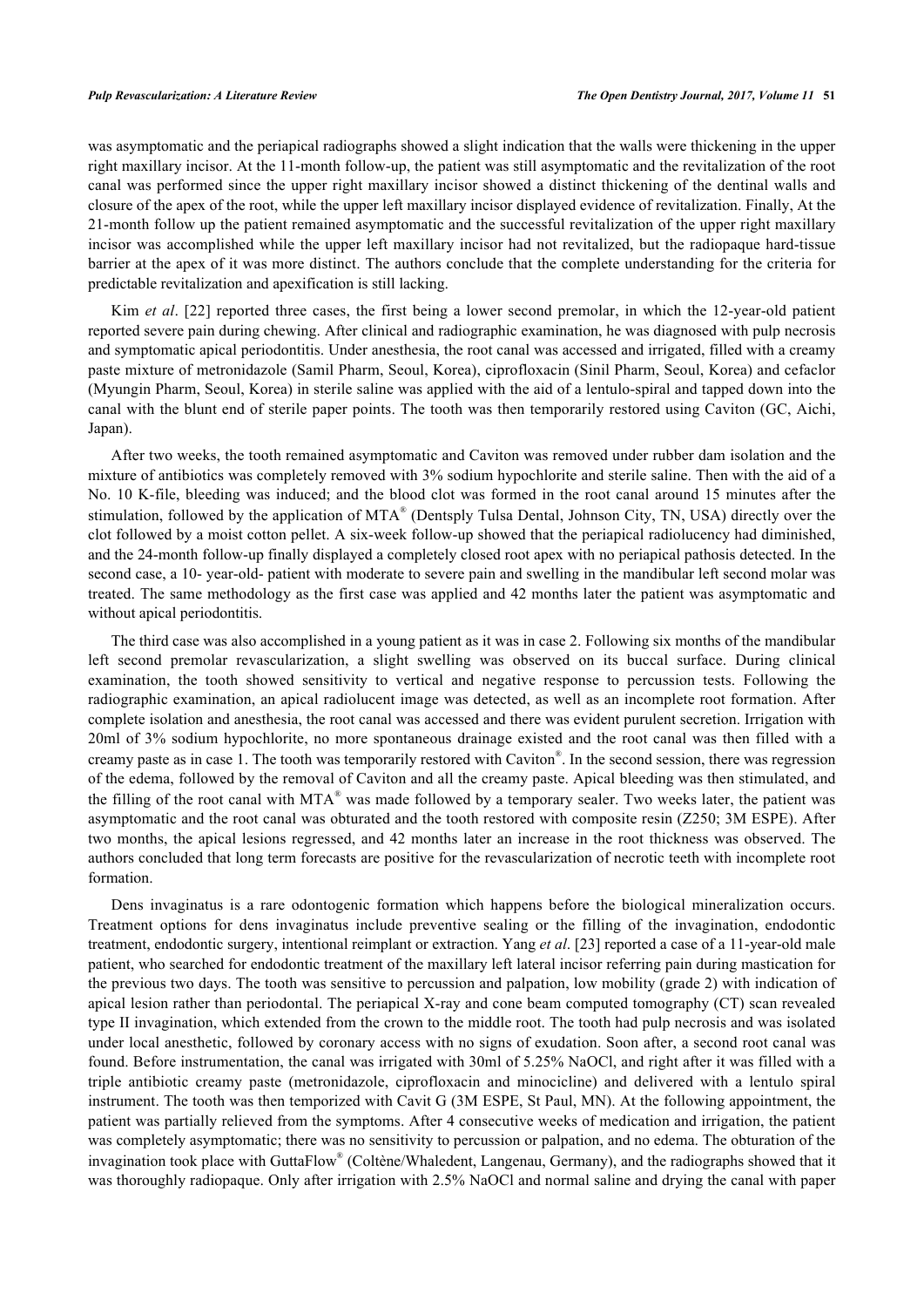was asymptomatic and the periapical radiographs showed a slight indication that the walls were thickening in the upper right maxillary incisor. At the 11-month follow-up, the patient was still asymptomatic and the revitalization of the root canal was performed since the upper right maxillary incisor showed a distinct thickening of the dentinal walls and closure of the apex of the root, while the upper left maxillary incisor displayed evidence of revitalization. Finally, At the 21-month follow up the patient remained asymptomatic and the successful revitalization of the upper right maxillary incisor was accomplished while the upper left maxillary incisor had not revitalized, but the radiopaque hard-tissue barrier at the apex of it was more distinct. The authors conclude that the complete understanding for the criteria for predictable revitalization and apexification is still lacking.

Kim *et al.* [\[22](#page-8-2)] reported three cases, the first being a lower second premolar, in which the 12-year-old patient reported severe pain during chewing. After clinical and radiographic examination, he was diagnosed with pulp necrosis and symptomatic apical periodontitis. Under anesthesia, the root canal was accessed and irrigated, filled with a creamy paste mixture of metronidazole (Samil Pharm, Seoul, Korea), ciprofloxacin (Sinil Pharm, Seoul, Korea) and cefaclor (Myungin Pharm, Seoul, Korea) in sterile saline was applied with the aid of a lentulo-spiral and tapped down into the canal with the blunt end of sterile paper points. The tooth was then temporarily restored using Caviton (GC, Aichi, Japan).

After two weeks, the tooth remained asymptomatic and Caviton was removed under rubber dam isolation and the mixture of antibiotics was completely removed with 3% sodium hypochlorite and sterile saline. Then with the aid of a No. 10 K-file, bleeding was induced; and the blood clot was formed in the root canal around 15 minutes after the stimulation, followed by the application of MTA® (Dentsply Tulsa Dental, Johnson City, TN, USA) directly over the clot followed by a moist cotton pellet. A six-week follow-up showed that the periapical radiolucency had diminished, and the 24-month follow-up finally displayed a completely closed root apex with no periapical pathosis detected. In the second case, a 10- year-old- patient with moderate to severe pain and swelling in the mandibular left second molar was treated. The same methodology as the first case was applied and 42 months later the patient was asymptomatic and without apical periodontitis.

The third case was also accomplished in a young patient as it was in case 2. Following six months of the mandibular left second premolar revascularization, a slight swelling was observed on its buccal surface. During clinical examination, the tooth showed sensitivity to vertical and negative response to percussion tests. Following the radiographic examination, an apical radiolucent image was detected, as well as an incomplete root formation. After complete isolation and anesthesia, the root canal was accessed and there was evident purulent secretion. Irrigation with 20ml of 3% sodium hypochlorite, no more spontaneous drainage existed and the root canal was then filled with a creamy paste as in case 1. The tooth was temporarily restored with Caviton® . In the second session, there was regression of the edema, followed by the removal of Caviton and all the creamy paste. Apical bleeding was then stimulated, and the filling of the root canal with MTA<sup>®</sup> was made followed by a temporary sealer. Two weeks later, the patient was asymptomatic and the root canal was obturated and the tooth restored with composite resin (Z250; 3M ESPE). After two months, the apical lesions regressed, and 42 months later an increase in the root thickness was observed. The authors concluded that long term forecasts are positive for the revascularization of necrotic teeth with incomplete root formation.

Dens invaginatus is a rare odontogenic formation which happens before the biological mineralization occurs. Treatment options for dens invaginatus include preventive sealing or the filling of the invagination, endodontic treatment, endodontic surgery, intentional reimplant or extraction. Yang *et al*. [[23\]](#page-8-3) reported a case of a 11-year-old male patient, who searched for endodontic treatment of the maxillary left lateral incisor referring pain during mastication for the previous two days. The tooth was sensitive to percussion and palpation, low mobility (grade 2) with indication of apical lesion rather than periodontal. The periapical X-ray and cone beam computed tomography (CT) scan revealed type II invagination, which extended from the crown to the middle root. The tooth had pulp necrosis and was isolated under local anesthetic, followed by coronary access with no signs of exudation. Soon after, a second root canal was found. Before instrumentation, the canal was irrigated with 30ml of 5.25% NaOCl, and right after it was filled with a triple antibiotic creamy paste (metronidazole, ciprofloxacin and minocicline) and delivered with a lentulo spiral instrument. The tooth was then temporized with Cavit G (3M ESPE, St Paul, MN). At the following appointment, the patient was partially relieved from the symptoms. After 4 consecutive weeks of medication and irrigation, the patient was completely asymptomatic; there was no sensitivity to percussion or palpation, and no edema. The obturation of the invagination took place with GuttaFlow® (Coltène/Whaledent, Langenau, Germany), and the radiographs showed that it was thoroughly radiopaque. Only after irrigation with 2.5% NaOCl and normal saline and drying the canal with paper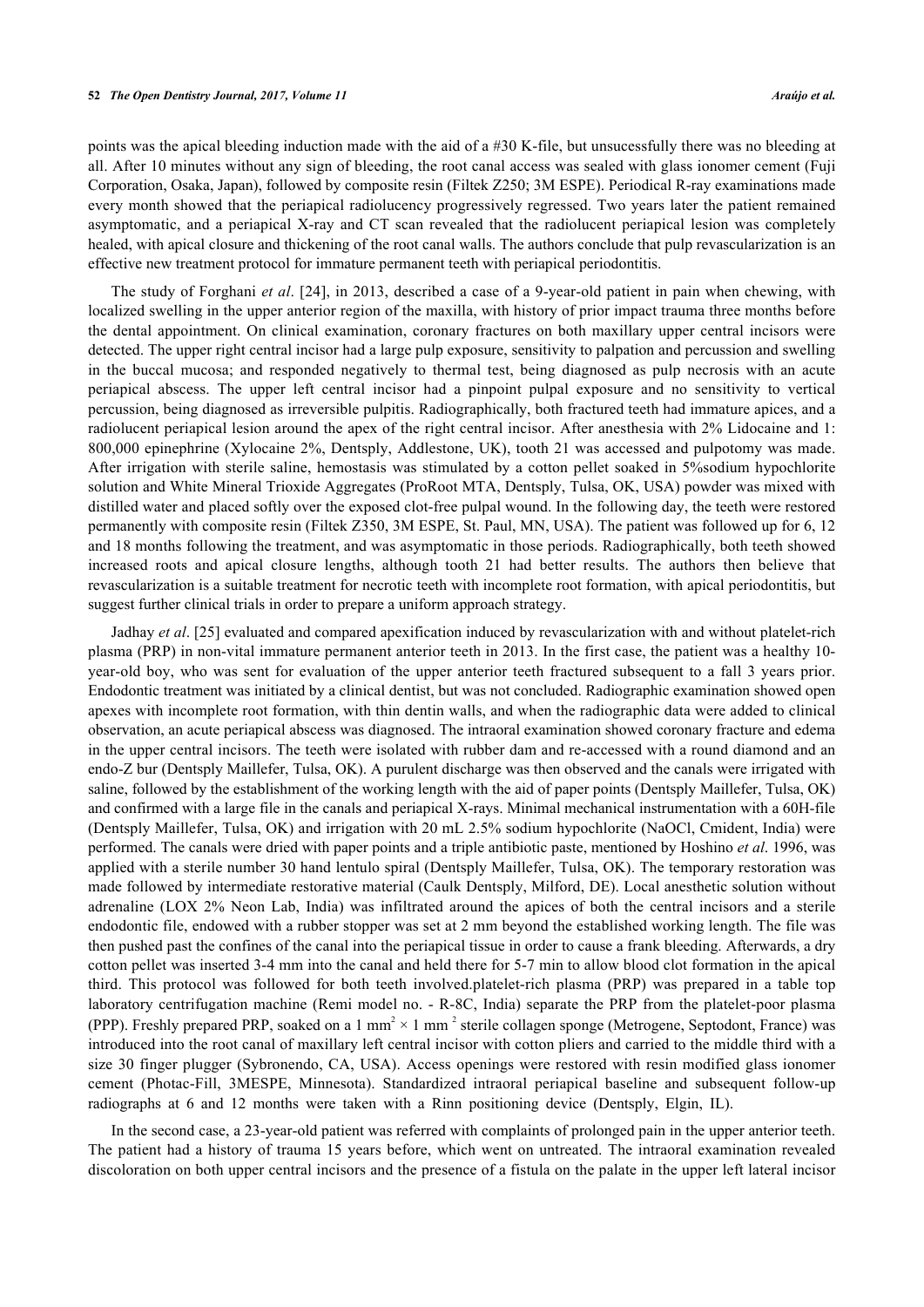points was the apical bleeding induction made with the aid of a #30 K-file, but unsucessfully there was no bleeding at all. After 10 minutes without any sign of bleeding, the root canal access was sealed with glass ionomer cement (Fuji Corporation, Osaka, Japan), followed by composite resin (Filtek Z250; 3M ESPE). Periodical R-ray examinations made every month showed that the periapical radiolucency progressively regressed. Two years later the patient remained asymptomatic, and a periapical X-ray and CT scan revealed that the radiolucent periapical lesion was completely healed, with apical closure and thickening of the root canal walls. The authors conclude that pulp revascularization is an effective new treatment protocol for immature permanent teeth with periapical periodontitis.

The study of Forghani *et al*. [[24\]](#page-8-4), in 2013, described a case of a 9-year-old patient in pain when chewing, with localized swelling in the upper anterior region of the maxilla, with history of prior impact trauma three months before the dental appointment. On clinical examination, coronary fractures on both maxillary upper central incisors were detected. The upper right central incisor had a large pulp exposure, sensitivity to palpation and percussion and swelling in the buccal mucosa; and responded negatively to thermal test, being diagnosed as pulp necrosis with an acute periapical abscess. The upper left central incisor had a pinpoint pulpal exposure and no sensitivity to vertical percussion, being diagnosed as irreversible pulpitis. Radiographically, both fractured teeth had immature apices, and a radiolucent periapical lesion around the apex of the right central incisor. After anesthesia with 2% Lidocaine and 1: 800,000 epinephrine (Xylocaine 2%, Dentsply, Addlestone, UK), tooth 21 was accessed and pulpotomy was made. After irrigation with sterile saline, hemostasis was stimulated by a cotton pellet soaked in 5%sodium hypochlorite solution and White Mineral Trioxide Aggregates (ProRoot MTA, Dentsply, Tulsa, OK, USA) powder was mixed with distilled water and placed softly over the exposed clot-free pulpal wound. In the following day, the teeth were restored permanently with composite resin (Filtek Z350, 3M ESPE, St. Paul, MN, USA). The patient was followed up for 6, 12 and 18 months following the treatment, and was asymptomatic in those periods. Radiographically, both teeth showed increased roots and apical closure lengths, although tooth 21 had better results. The authors then believe that revascularization is a suitable treatment for necrotic teeth with incomplete root formation, with apical periodontitis, but suggest further clinical trials in order to prepare a uniform approach strategy.

Jadhay *et al*. [[25\]](#page-8-5) evaluated and compared apexification induced by revascularization with and without platelet-rich plasma (PRP) in non-vital immature permanent anterior teeth in 2013. In the first case, the patient was a healthy 10 year-old boy, who was sent for evaluation of the upper anterior teeth fractured subsequent to a fall 3 years prior. Endodontic treatment was initiated by a clinical dentist, but was not concluded. Radiographic examination showed open apexes with incomplete root formation, with thin dentin walls, and when the radiographic data were added to clinical observation, an acute periapical abscess was diagnosed. The intraoral examination showed coronary fracture and edema in the upper central incisors. The teeth were isolated with rubber dam and re-accessed with a round diamond and an endo-Z bur (Dentsply Maillefer, Tulsa, OK). A purulent discharge was then observed and the canals were irrigated with saline, followed by the establishment of the working length with the aid of paper points (Dentsply Maillefer, Tulsa, OK) and confirmed with a large file in the canals and periapical X-rays. Minimal mechanical instrumentation with a 60H-file (Dentsply Maillefer, Tulsa, OK) and irrigation with 20 mL 2.5% sodium hypochlorite (NaOCl, Cmident, India) were performed. The canals were dried with paper points and a triple antibiotic paste, mentioned by Hoshino *et al*. 1996, was applied with a sterile number 30 hand lentulo spiral (Dentsply Maillefer, Tulsa, OK). The temporary restoration was made followed by intermediate restorative material (Caulk Dentsply, Milford, DE). Local anesthetic solution without adrenaline (LOX 2% Neon Lab, India) was infiltrated around the apices of both the central incisors and a sterile endodontic file, endowed with a rubber stopper was set at 2 mm beyond the established working length. The file was then pushed past the confines of the canal into the periapical tissue in order to cause a frank bleeding. Afterwards, a dry cotton pellet was inserted 3-4 mm into the canal and held there for 5-7 min to allow blood clot formation in the apical third. This protocol was followed for both teeth involved.platelet-rich plasma (PRP) was prepared in a table top laboratory centrifugation machine (Remi model no. - R-8C, India) separate the PRP from the platelet-poor plasma (PPP). Freshly prepared PRP, soaked on a 1 mm<sup>2</sup>  $\times$  1 mm<sup>2</sup> sterile collagen sponge (Metrogene, Septodont, France) was introduced into the root canal of maxillary left central incisor with cotton pliers and carried to the middle third with a size 30 finger plugger (Sybronendo, CA, USA). Access openings were restored with resin modified glass ionomer cement (Photac-Fill, 3MESPE, Minnesota). Standardized intraoral periapical baseline and subsequent follow-up radiographs at 6 and 12 months were taken with a Rinn positioning device (Dentsply, Elgin, IL).

In the second case, a 23-year-old patient was referred with complaints of prolonged pain in the upper anterior teeth. The patient had a history of trauma 15 years before, which went on untreated. The intraoral examination revealed discoloration on both upper central incisors and the presence of a fistula on the palate in the upper left lateral incisor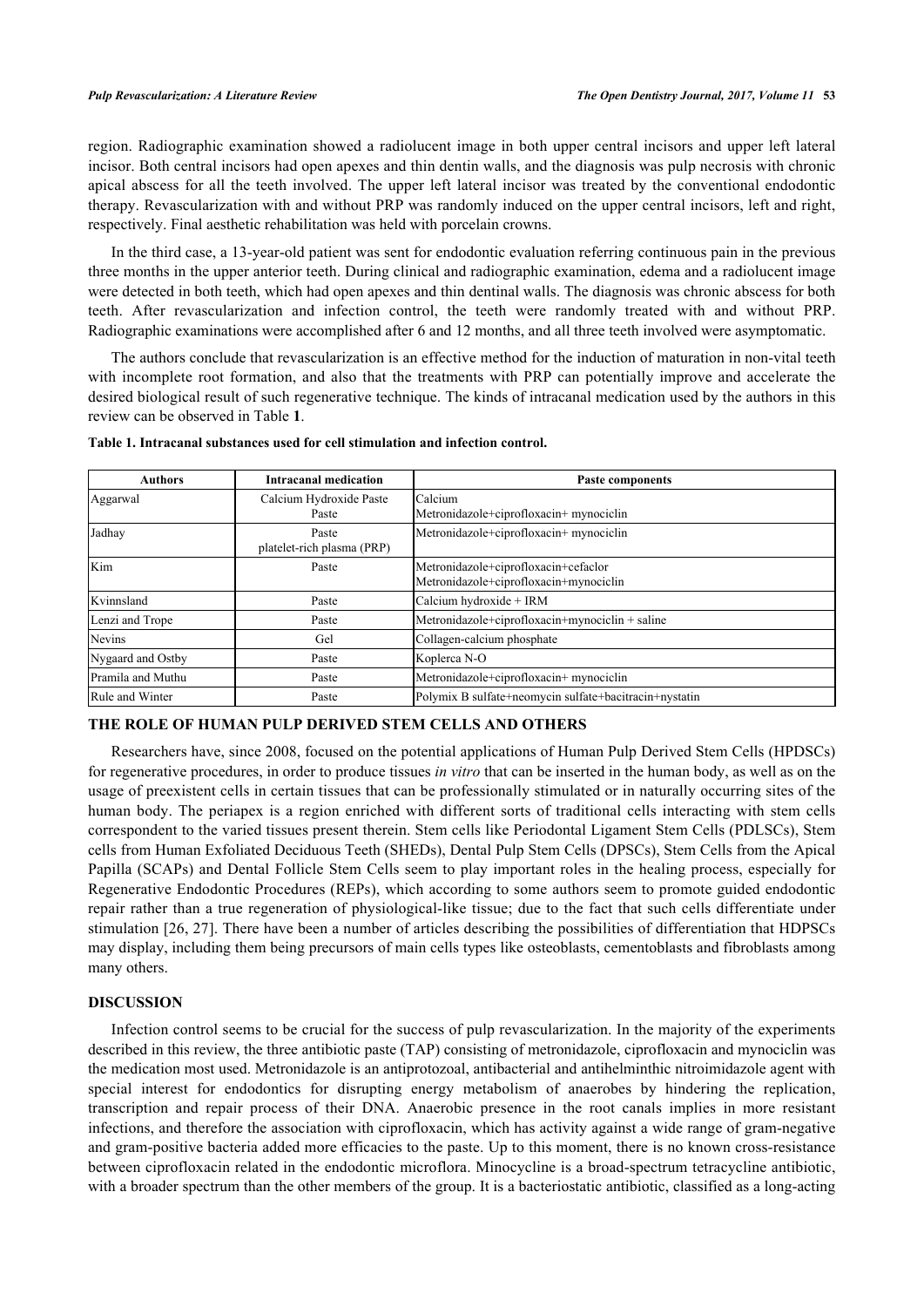region. Radiographic examination showed a radiolucent image in both upper central incisors and upper left lateral incisor. Both central incisors had open apexes and thin dentin walls, and the diagnosis was pulp necrosis with chronic apical abscess for all the teeth involved. The upper left lateral incisor was treated by the conventional endodontic therapy. Revascularization with and without PRP was randomly induced on the upper central incisors, left and right, respectively. Final aesthetic rehabilitation was held with porcelain crowns.

In the third case, a 13-year-old patient was sent for endodontic evaluation referring continuous pain in the previous three months in the upper anterior teeth. During clinical and radiographic examination, edema and a radiolucent image were detected in both teeth, which had open apexes and thin dentinal walls. The diagnosis was chronic abscess for both teeth. After revascularization and infection control, the teeth were randomly treated with and without PRP. Radiographic examinations were accomplished after 6 and 12 months, and all three teeth involved were asymptomatic.

The authors conclude that revascularization is an effective method for the induction of maturation in non-vital teeth with incomplete root formation, and also that the treatments with PRP can potentially improve and accelerate the desired biological result of such regenerative technique. The kinds of intracanal medication used by the authors in this review can be observed in Table **[1](#page-5-0)**.

| <b>Authors</b>    | <b>Intracanal medication</b>        | <b>Paste components</b>                                                        |
|-------------------|-------------------------------------|--------------------------------------------------------------------------------|
| Aggarwal          | Calcium Hydroxide Paste             | Calcium                                                                        |
|                   | Paste                               | Metronidazole+ciprofloxacin+ mynociclin                                        |
| Jadhay            | Paste<br>platelet-rich plasma (PRP) | Metronidazole+ciprofloxacin+ mynociclin                                        |
| Kim               | Paste                               | Metronidazole+ciprofloxacin+cefaclor<br>Metronidazole+ciprofloxacin+mynociclin |
| Kvinnsland        | Paste                               | Calcium hydroxide + IRM                                                        |
| Lenzi and Trope   | Paste                               | Metronidazole+ciprofloxacin+mynociclin + saline                                |
| Nevins            | Gel                                 | Collagen-calcium phosphate                                                     |
| Nygaard and Ostby | Paste                               | Koplerca N-O                                                                   |
| Pramila and Muthu | Paste                               | Metronidazole+ciprofloxacin+ mynociclin                                        |
| Rule and Winter   | Paste                               | Polymix B sulfate+neomycin sulfate+bacitracin+nystatin                         |

#### <span id="page-5-0"></span>**Table 1. Intracanal substances used for cell stimulation and infection control.**

## **THE ROLE OF HUMAN PULP DERIVED STEM CELLS AND OTHERS**

Researchers have, since 2008, focused on the potential applications of Human Pulp Derived Stem Cells (HPDSCs) for regenerative procedures, in order to produce tissues *in vitro* that can be inserted in the human body, as well as on the usage of preexistent cells in certain tissues that can be professionally stimulated or in naturally occurring sites of the human body. The periapex is a region enriched with different sorts of traditional cells interacting with stem cells correspondent to the varied tissues present therein. Stem cells like Periodontal Ligament Stem Cells (PDLSCs), Stem cells from Human Exfoliated Deciduous Teeth (SHEDs), Dental Pulp Stem Cells (DPSCs), Stem Cells from the Apical Papilla (SCAPs) and Dental Follicle Stem Cells seem to play important roles in the healing process, especially for Regenerative Endodontic Procedures (REPs), which according to some authors seem to promote guided endodontic repair rather than a true regeneration of physiological-like tissue; due to the fact that such cells differentiate under stimulation [[26](#page-8-6), [27\]](#page-8-7). There have been a number of articles describing the possibilities of differentiation that HDPSCs may display, including them being precursors of main cells types like osteoblasts, cementoblasts and fibroblasts among many others.

#### **DISCUSSION**

Infection control seems to be crucial for the success of pulp revascularization. In the majority of the experiments described in this review, the three antibiotic paste (TAP) consisting of metronidazole, ciprofloxacin and mynociclin was the medication most used. Metronidazole is an antiprotozoal, antibacterial and antihelminthic nitroimidazole agent with special interest for endodontics for disrupting energy metabolism of anaerobes by hindering the replication, transcription and repair process of their DNA. Anaerobic presence in the root canals implies in more resistant infections, and therefore the association with ciprofloxacin, which has activity against a wide range of gram-negative and gram-positive bacteria added more efficacies to the paste. Up to this moment, there is no known cross-resistance between ciprofloxacin related in the endodontic microflora. Minocycline is a broad-spectrum tetracycline antibiotic, with a broader spectrum than the other members of the group. It is a bacteriostatic antibiotic, classified as a long-acting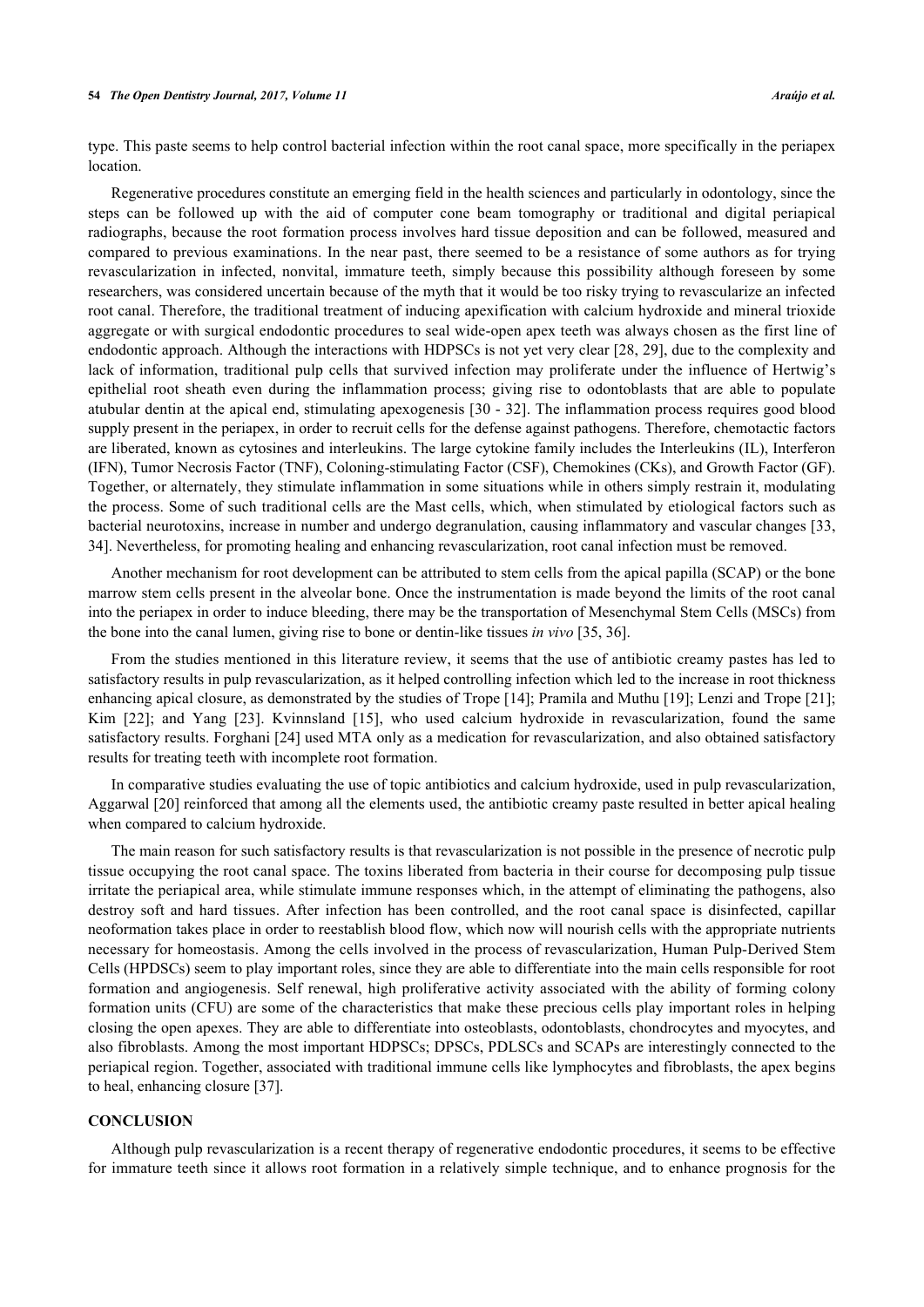type. This paste seems to help control bacterial infection within the root canal space, more specifically in the periapex location.

Regenerative procedures constitute an emerging field in the health sciences and particularly in odontology, since the steps can be followed up with the aid of computer cone beam tomography or traditional and digital periapical radiographs, because the root formation process involves hard tissue deposition and can be followed, measured and compared to previous examinations. In the near past, there seemed to be a resistance of some authors as for trying revascularization in infected, nonvital, immature teeth, simply because this possibility although foreseen by some researchers, was considered uncertain because of the myth that it would be too risky trying to revascularize an infected root canal. Therefore, the traditional treatment of inducing apexification with calcium hydroxide and mineral trioxide aggregate or with surgical endodontic procedures to seal wide-open apex teeth was always chosen as the first line of endodontic approach. Although the interactions with HDPSCs is not yet very clear [[28,](#page-8-8) [29](#page-8-9)], due to the complexity and lack of information, traditional pulp cells that survived infection may proliferate under the influence of Hertwig's epithelial root sheath even during the inflammation process; giving rise to odontoblasts that are able to populate atubular dentin at the apical end, stimulating apexogenesis [[30](#page-8-10) - [32](#page-8-11)]. The inflammation process requires good blood supply present in the periapex, in order to recruit cells for the defense against pathogens. Therefore, chemotactic factors are liberated, known as cytosines and interleukins. The large cytokine family includes the Interleukins (IL), Interferon (IFN), Tumor Necrosis Factor (TNF), Coloning-stimulating Factor (CSF), Chemokines (CKs), and Growth Factor (GF). Together, or alternately, they stimulate inflammation in some situations while in others simply restrain it, modulating the process. Some of such traditional cells are the Mast cells, which, when stimulated by etiological factors such as bacterial neurotoxins, increase in number and undergo degranulation, causing inflammatory and vascular changes [[33](#page-8-12), [34\]](#page-8-13). Nevertheless, for promoting healing and enhancing revascularization, root canal infection must be removed.

Another mechanism for root development can be attributed to stem cells from the apical papilla (SCAP) or the bone marrow stem cells present in the alveolar bone. Once the instrumentation is made beyond the limits of the root canal into the periapex in order to induce bleeding, there may be the transportation of Mesenchymal Stem Cells (MSCs) from the bone into the canal lumen, giving rise to bone or dentin-like tissues *in vivo* [[35,](#page-8-14) [36\]](#page-8-15).

From the studies mentioned in this literature review, it seems that the use of antibiotic creamy pastes has led to satisfactory results in pulp revascularization, as it helped controlling infection which led to the increase in root thickness enhancing apical closure, as demonstrated by the studies of Trope [\[14](#page-7-13)]; Pramila and Muthu [[19](#page-7-18)]; Lenzi and Trope [\[21](#page-8-1)]; Kim[[22](#page-8-2)]; and Yang [\[23\]](#page-8-3). Kvinnsland[[15](#page-7-14)], who used calcium hydroxide in revascularization, found the same satisfactory results. Forghani [\[24](#page-8-4)] used MTA only as a medication for revascularization, and also obtained satisfactory results for treating teeth with incomplete root formation.

In comparative studies evaluating the use of topic antibiotics and calcium hydroxide, used in pulp revascularization, Aggarwal [\[20](#page-8-0)] reinforced that among all the elements used, the antibiotic creamy paste resulted in better apical healing when compared to calcium hydroxide.

The main reason for such satisfactory results is that revascularization is not possible in the presence of necrotic pulp tissue occupying the root canal space. The toxins liberated from bacteria in their course for decomposing pulp tissue irritate the periapical area, while stimulate immune responses which, in the attempt of eliminating the pathogens, also destroy soft and hard tissues. After infection has been controlled, and the root canal space is disinfected, capillar neoformation takes place in order to reestablish blood flow, which now will nourish cells with the appropriate nutrients necessary for homeostasis. Among the cells involved in the process of revascularization, Human Pulp-Derived Stem Cells (HPDSCs) seem to play important roles, since they are able to differentiate into the main cells responsible for root formation and angiogenesis. Self renewal, high proliferative activity associated with the ability of forming colony formation units (CFU) are some of the characteristics that make these precious cells play important roles in helping closing the open apexes. They are able to differentiate into osteoblasts, odontoblasts, chondrocytes and myocytes, and also fibroblasts. Among the most important HDPSCs; DPSCs, PDLSCs and SCAPs are interestingly connected to the periapical region. Together, associated with traditional immune cells like lymphocytes and fibroblasts, the apex begins to heal, enhancing closure [[37\]](#page-8-16).

## **CONCLUSION**

Although pulp revascularization is a recent therapy of regenerative endodontic procedures, it seems to be effective for immature teeth since it allows root formation in a relatively simple technique, and to enhance prognosis for the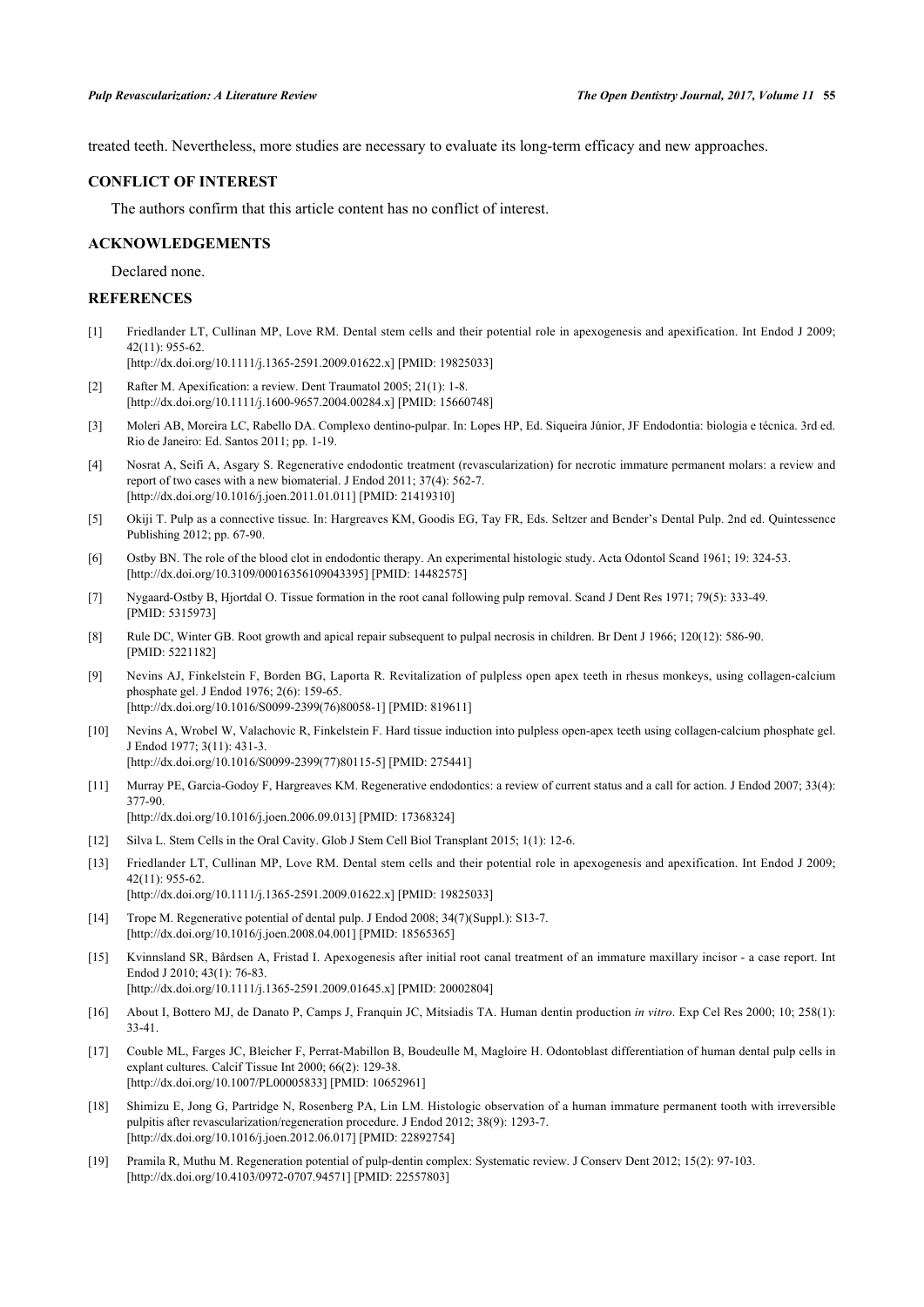treated teeth. Nevertheless, more studies are necessary to evaluate its long-term efficacy and new approaches.

#### **CONFLICT OF INTEREST**

The authors confirm that this article content has no conflict of interest.

#### **ACKNOWLEDGEMENTS**

Declared none.

### **REFERENCES**

<span id="page-7-0"></span>[1] Friedlander LT, Cullinan MP, Love RM. Dental stem cells and their potential role in apexogenesis and apexification. Int Endod J 2009; 42(11): 955-62.

[\[http://dx.doi.org/10.1111/j.1365-2591.2009.01622.x\]](http://dx.doi.org/10.1111/j.1365-2591.2009.01622.x) [PMID: [19825033](http://www.ncbi.nlm.nih.gov/pubmed/19825033)]

- <span id="page-7-1"></span>[2] Rafter M. Apexification: a review. Dent Traumatol 2005; 21(1): 1-8. [\[http://dx.doi.org/10.1111/j.1600-9657.2004.00284.x\]](http://dx.doi.org/10.1111/j.1600-9657.2004.00284.x) [PMID: [15660748](http://www.ncbi.nlm.nih.gov/pubmed/15660748)]
- <span id="page-7-2"></span>[3] Moleri AB, Moreira LC, Rabello DA. Complexo dentino-pulpar. In: Lopes HP, Ed. Siqueira Júnior, JF Endodontia: biologia e técnica. 3rd ed. Rio de Janeiro: Ed. Santos 2011; pp. 1-19.
- <span id="page-7-3"></span>[4] Nosrat A, Seifi A, Asgary S. Regenerative endodontic treatment (revascularization) for necrotic immature permanent molars: a review and report of two cases with a new biomaterial. J Endod 2011; 37(4): 562-7. [\[http://dx.doi.org/10.1016/j.joen.2011.01.011\]](http://dx.doi.org/10.1016/j.joen.2011.01.011) [PMID: [21419310](http://www.ncbi.nlm.nih.gov/pubmed/21419310)]
- <span id="page-7-4"></span>[5] Okiji T. Pulp as a connective tissue. In: Hargreaves KM, Goodis EG, Tay FR, Eds. Seltzer and Bender's Dental Pulp. 2nd ed. Quintessence Publishing 2012; pp. 67-90.
- <span id="page-7-5"></span>[6] Ostby BN. The role of the blood clot in endodontic therapy. An experimental histologic study. Acta Odontol Scand 1961; 19: 324-53. [\[http://dx.doi.org/10.3109/00016356109043395\]](http://dx.doi.org/10.3109/00016356109043395) [PMID: [14482575](http://www.ncbi.nlm.nih.gov/pubmed/14482575)]
- <span id="page-7-6"></span>[7] Nygaard-Ostby B, Hjortdal O. Tissue formation in the root canal following pulp removal. Scand J Dent Res 1971; 79(5): 333-49. [PMID: [5315973\]](http://www.ncbi.nlm.nih.gov/pubmed/5315973)
- <span id="page-7-7"></span>[8] Rule DC, Winter GB. Root growth and apical repair subsequent to pulpal necrosis in children. Br Dent J 1966; 120(12): 586-90. [PMID: [5221182\]](http://www.ncbi.nlm.nih.gov/pubmed/5221182)
- <span id="page-7-8"></span>[9] Nevins AJ, Finkelstein F, Borden BG, Laporta R. Revitalization of pulpless open apex teeth in rhesus monkeys, using collagen-calcium phosphate gel. J Endod 1976; 2(6): 159-65. [\[http://dx.doi.org/10.1016/S0099-2399\(76\)80058-1\]](http://dx.doi.org/10.1016/S0099-2399(76)80058-1) [PMID: [819611](http://www.ncbi.nlm.nih.gov/pubmed/819611)]
- <span id="page-7-9"></span>[10] Nevins A, Wrobel W, Valachovic R, Finkelstein F. Hard tissue induction into pulpless open-apex teeth using collagen-calcium phosphate gel. J Endod 1977; 3(11): 431-3.
	- [\[http://dx.doi.org/10.1016/S0099-2399\(77\)80115-5\]](http://dx.doi.org/10.1016/S0099-2399(77)80115-5) [PMID: [275441](http://www.ncbi.nlm.nih.gov/pubmed/275441)]
- <span id="page-7-10"></span>[11] Murray PE, Garcia-Godoy F, Hargreaves KM. Regenerative endodontics: a review of current status and a call for action. J Endod 2007; 33(4): 377-90. [\[http://dx.doi.org/10.1016/j.joen.2006.09.013\]](http://dx.doi.org/10.1016/j.joen.2006.09.013) [PMID: [17368324](http://www.ncbi.nlm.nih.gov/pubmed/17368324)]

<span id="page-7-11"></span>[12] Silva L. Stem Cells in the Oral Cavity. Glob J Stem Cell Biol Transplant 2015; 1(1): 12-6.

<span id="page-7-12"></span>[13] Friedlander LT, Cullinan MP, Love RM. Dental stem cells and their potential role in apexogenesis and apexification. Int Endod J 2009; 42(11): 955-62.

[\[http://dx.doi.org/10.1111/j.1365-2591.2009.01622.x\]](http://dx.doi.org/10.1111/j.1365-2591.2009.01622.x) [PMID: [19825033](http://www.ncbi.nlm.nih.gov/pubmed/19825033)]

- <span id="page-7-13"></span>[14] Trope M. Regenerative potential of dental pulp. J Endod 2008; 34(7)(Suppl.): S13-7. [\[http://dx.doi.org/10.1016/j.joen.2008.04.001\]](http://dx.doi.org/10.1016/j.joen.2008.04.001) [PMID: [18565365](http://www.ncbi.nlm.nih.gov/pubmed/18565365)]
- <span id="page-7-14"></span>[15] Kvinnsland SR, Bårdsen A, Fristad I. Apexogenesis after initial root canal treatment of an immature maxillary incisor - a case report. Int Endod J 2010; 43(1): 76-83. [\[http://dx.doi.org/10.1111/j.1365-2591.2009.01645.x\]](http://dx.doi.org/10.1111/j.1365-2591.2009.01645.x) [PMID: [20002804](http://www.ncbi.nlm.nih.gov/pubmed/20002804)]
- <span id="page-7-15"></span>[16] About I, Bottero MJ, de Danato P, Camps J, Franquin JC, Mitsiadis TA. Human dentin production *in vitro*. Exp Cel Res 2000; 10; 258(1): 33-41.
- <span id="page-7-16"></span>[17] Couble ML, Farges JC, Bleicher F, Perrat-Mabillon B, Boudeulle M, Magloire H. Odontoblast differentiation of human dental pulp cells in explant cultures. Calcif Tissue Int 2000; 66(2): 129-38. [\[http://dx.doi.org/10.1007/PL00005833](http://dx.doi.org/10.1007/PL00005833)] [PMID: [10652961\]](http://www.ncbi.nlm.nih.gov/pubmed/10652961)
- <span id="page-7-17"></span>[18] Shimizu E, Jong G, Partridge N, Rosenberg PA, Lin LM. Histologic observation of a human immature permanent tooth with irreversible pulpitis after revascularization/regeneration procedure. J Endod 2012; 38(9): 1293-7. [\[http://dx.doi.org/10.1016/j.joen.2012.06.017\]](http://dx.doi.org/10.1016/j.joen.2012.06.017) [PMID: [22892754](http://www.ncbi.nlm.nih.gov/pubmed/22892754)]
- <span id="page-7-18"></span>[19] Pramila R, Muthu M. Regeneration potential of pulp-dentin complex: Systematic review. J Conserv Dent 2012; 15(2): 97-103. [\[http://dx.doi.org/10.4103/0972-0707.94571](http://dx.doi.org/10.4103/0972-0707.94571)] [PMID: [22557803](http://www.ncbi.nlm.nih.gov/pubmed/22557803)]